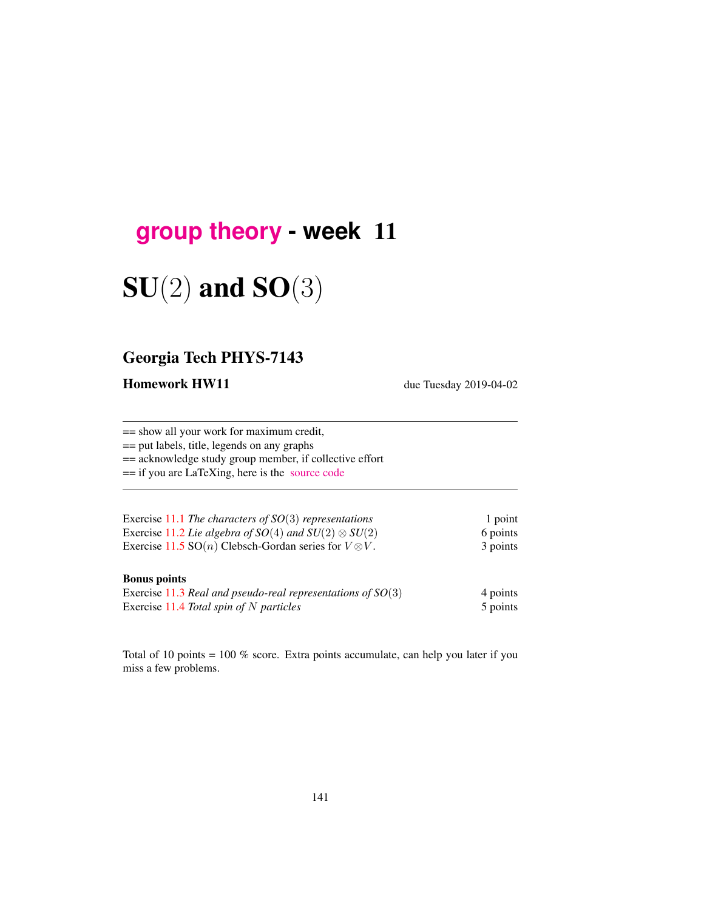## **[group theory](http://birdtracks.eu/courses/PHYS-7143-19/schedule.html) - week** 11

# $SU(2)$  and  $SO(3)$

## Georgia Tech PHYS-7143

Homework HW11 due Tuesday 2019-04-02

== show all your work for maximum credit, == put labels, title, legends on any graphs == acknowledge study group member, if collective effort == if you are LaTeXing, here is the [source code](http://birdtracks.eu/courses/PHYS-7143-19/exerWeek11.tex)

| Exercise 11.1 The characters of $SO(3)$ representations                | 1 point  |
|------------------------------------------------------------------------|----------|
| Exercise 11.2 Lie algebra of $SO(4)$ and $SU(2) \otimes SU(2)$         | 6 points |
| Exercise 11.5 SO( <i>n</i> ) Clebsch-Gordan series for $V \otimes V$ . | 3 points |

#### Bonus points

| Exercise 11.3 Real and pseudo-real representations of $SO(3)$ | 4 points |
|---------------------------------------------------------------|----------|
| Exercise 11.4 Total spin of $N$ particles                     | 5 points |

Total of 10 points = 100 % score. Extra points accumulate, can help you later if you miss a few problems.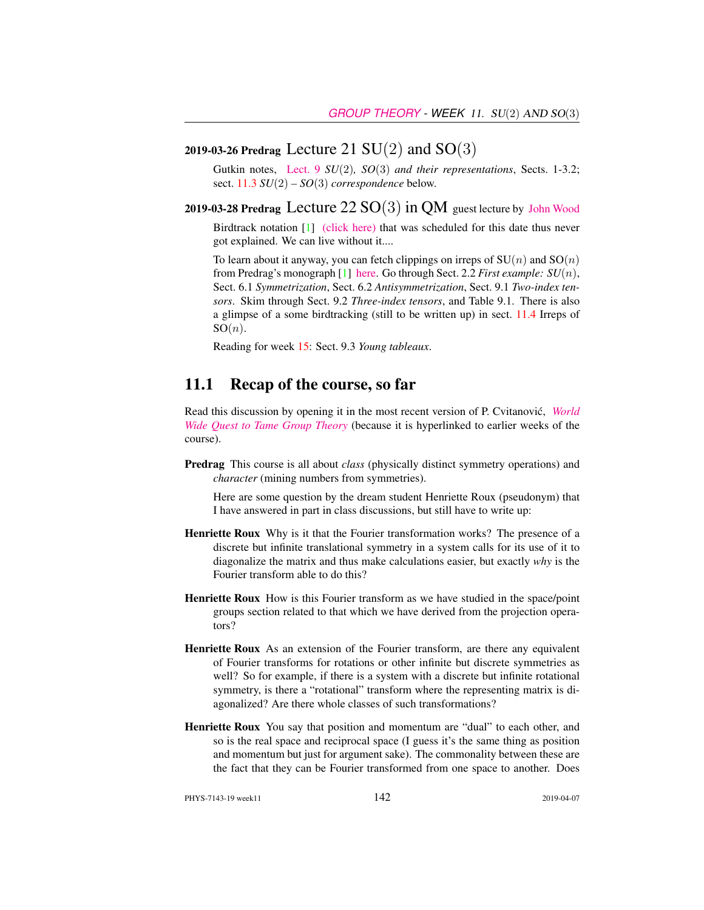#### 2019-03-26 Predrag Lecture 21  $SU(2)$  and  $SO(3)$

Gutkin notes, [Lect. 9](http://birdtracks.eu/courses/PHYS-7143-19/groups.pdf) *SU*(2)*, SO*(3) *and their representations*, Sects. 1-3.2; sect. 11.3 *SU*(2) *– SO*(3) *correspondence* below.

2019-03-28 Predrag Lecture  $22 SO(3)$  in QM guest lecture by [John Wood](http://www.physics.gatech.edu/user/john-l-wood) Birdtrack notation [1] [\(click here\)](http://birdtracks.eu/courses/PHYS-7143-19/week15lect30.pdf) that was scheduled for this date thus never

got explained. We can live without it....

To learn about it anyway, you can fetch clippings on irreps of  $SU(n)$  and  $SO(n)$ from Predrag's monograph [1] [here.](http://birdtracks.eu/courses/PHYS-7143-19/week11lect22.pdf) Go through Sect. 2.2 *First example: SU*(n), Sect. 6.1 *Symmetrization*, Sect. 6.2 *Antisymmetrization*, Sect. 9.1 *Two-index tensors*. Skim through Sect. 9.2 *Three-index tensors*, and Table 9.1. There is also a glimpse of a some birdtracking (still to be written up) in sect. 11.4 Irreps of  $SO(n)$ .

Reading for week 15: Sect. 9.3 *Young tableaux*.

#### 11.1 Recap of the course, so far

Read this discussion by opening it in the most recent version of P. Cvitanović, *[World](http://birdtracks.eu/courses/PHYS-7143-19/notes.pdf) [Wide Quest to Tame Group Theory](http://birdtracks.eu/courses/PHYS-7143-19/notes.pdf)* (because it is hyperlinked to earlier weeks of the course).

Predrag This course is all about *class* (physically distinct symmetry operations) and *character* (mining numbers from symmetries).

Here are some question by the dream student Henriette Roux (pseudonym) that I have answered in part in class discussions, but still have to write up:

- Henriette Roux Why is it that the Fourier transformation works? The presence of a discrete but infinite translational symmetry in a system calls for its use of it to diagonalize the matrix and thus make calculations easier, but exactly *why* is the Fourier transform able to do this?
- Henriette Roux How is this Fourier transform as we have studied in the space/point groups section related to that which we have derived from the projection operators?
- Henriette Roux As an extension of the Fourier transform, are there any equivalent of Fourier transforms for rotations or other infinite but discrete symmetries as well? So for example, if there is a system with a discrete but infinite rotational symmetry, is there a "rotational" transform where the representing matrix is diagonalized? Are there whole classes of such transformations?
- Henriette Roux You say that position and momentum are "dual" to each other, and so is the real space and reciprocal space (I guess it's the same thing as position and momentum but just for argument sake). The commonality between these are the fact that they can be Fourier transformed from one space to another. Does

PHYS-7143-19 week11 2019-04-07 2019-04-07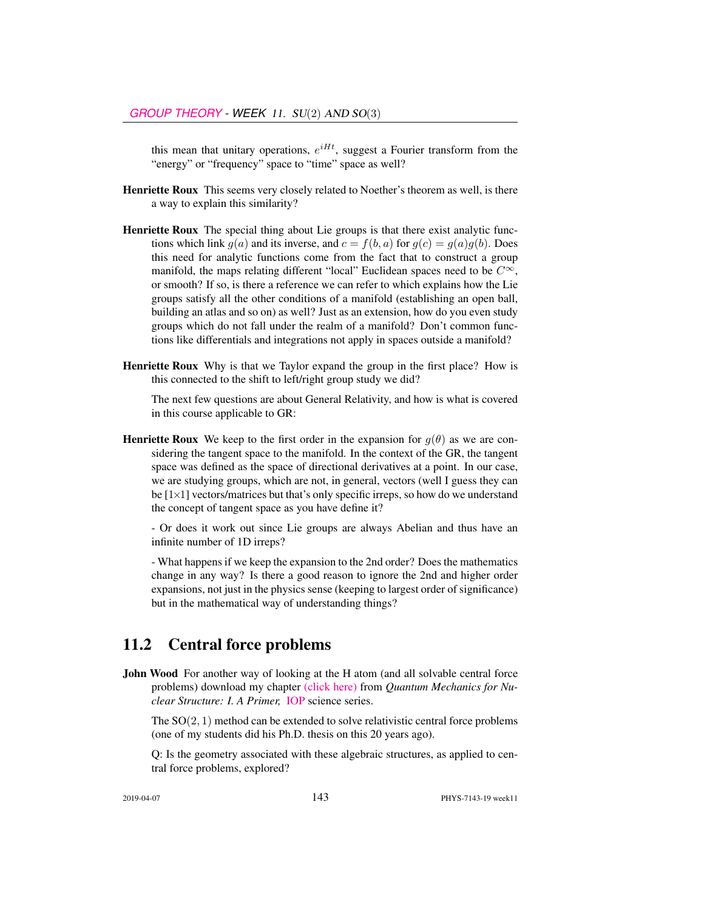this mean that unitary operations,  $e^{iHt}$ , suggest a Fourier transform from the "energy" or "frequency" space to "time" space as well?

- Henriette Roux This seems very closely related to Noether's theorem as well, is there a way to explain this similarity?
- Henriette Roux The special thing about Lie groups is that there exist analytic functions which link  $g(a)$  and its inverse, and  $c = f(b, a)$  for  $g(c) = g(a)g(b)$ . Does this need for analytic functions come from the fact that to construct a group manifold, the maps relating different "local" Euclidean spaces need to be  $C^{\infty}$ , or smooth? If so, is there a reference we can refer to which explains how the Lie groups satisfy all the other conditions of a manifold (establishing an open ball, building an atlas and so on) as well? Just as an extension, how do you even study groups which do not fall under the realm of a manifold? Don't common functions like differentials and integrations not apply in spaces outside a manifold?
- Henriette Roux Why is that we Taylor expand the group in the first place? How is this connected to the shift to left/right group study we did?

The next few questions are about General Relativity, and how is what is covered in this course applicable to GR:

**Henriette Roux** We keep to the first order in the expansion for  $q(\theta)$  as we are considering the tangent space to the manifold. In the context of the GR, the tangent space was defined as the space of directional derivatives at a point. In our case, we are studying groups, which are not, in general, vectors (well I guess they can be  $[1\times1]$  vectors/matrices but that's only specific irreps, so how do we understand the concept of tangent space as you have define it?

- Or does it work out since Lie groups are always Abelian and thus have an infinite number of 1D irreps?

- What happens if we keep the expansion to the 2nd order? Does the mathematics change in any way? Is there a good reason to ignore the 2nd and higher order expansions, not just in the physics sense (keeping to largest order of significance) but in the mathematical way of understanding things?

### 11.2 Central force problems

**John Wood** For another way of looking at the H atom (and all solvable central force problems) download my chapter [\(click here\)](http://ChaosBook.org/library/HeyWoo20Ch12.pdf) from *Quantum Mechanics for Nuclear Structure: I. A Primer,* [IOP](https://iopscience.iop.org/bookListInfo/iop-series-in-nuclear-spectroscopy-and-nuclear-structure) science series.

The  $SO(2, 1)$  method can be extended to solve relativistic central force problems (one of my students did his Ph.D. thesis on this 20 years ago).

Q: Is the geometry associated with these algebraic structures, as applied to central force problems, explored?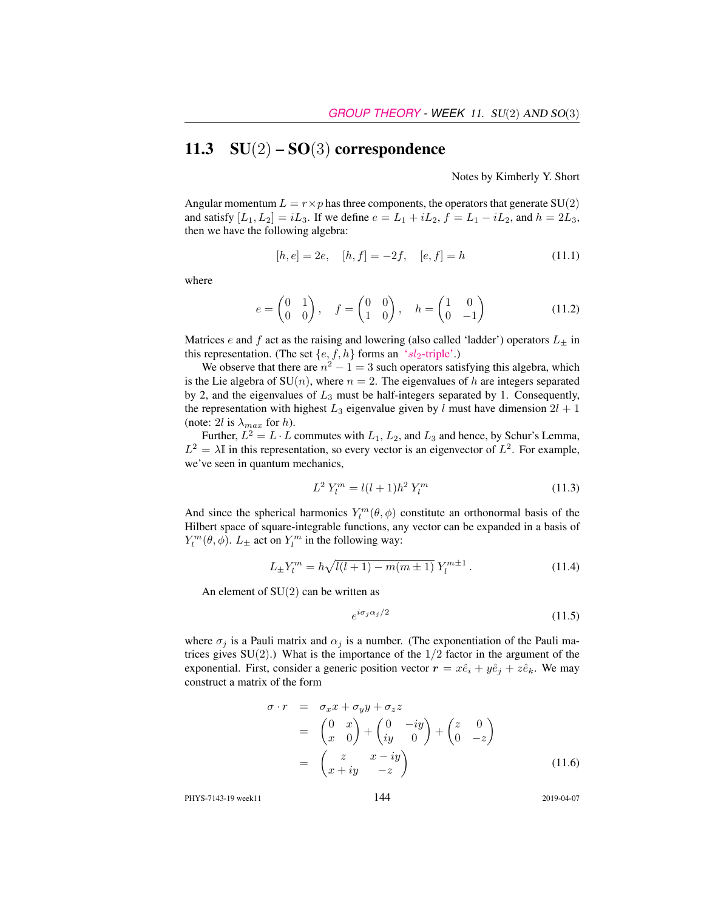## 11.3  $SU(2) – SO(3)$  correspondence

Notes by Kimberly Y. Short

Angular momentum  $L = r \times p$  has three components, the operators that generate SU(2) and satisfy  $[L_1, L_2] = iL_3$ . If we define  $e = L_1 + iL_2$ ,  $f = L_1 - iL_2$ , and  $h = 2L_3$ , then we have the following algebra:

$$
[h, e] = 2e, \quad [h, f] = -2f, \quad [e, f] = h \tag{11.1}
$$

where

$$
e = \begin{pmatrix} 0 & 1 \\ 0 & 0 \end{pmatrix}, \quad f = \begin{pmatrix} 0 & 0 \\ 1 & 0 \end{pmatrix}, \quad h = \begin{pmatrix} 1 & 0 \\ 0 & -1 \end{pmatrix}
$$
 (11.2)

Matrices e and f act as the raising and lowering (also called 'ladder') operators  $L_{\pm}$  in this representation. (The set  $\{e, f, h\}$  forms an 'sl<sub>2</sub>[-triple'.](https://en.wikipedia.org/wiki/Sl2-triple))

We observe that there are  $n^2 - 1 = 3$  such operators satisfying this algebra, which is the Lie algebra of  $SU(n)$ , where  $n = 2$ . The eigenvalues of h are integers separated by 2, and the eigenvalues of  $L_3$  must be half-integers separated by 1. Consequently, the representation with highest  $L_3$  eigenvalue given by l must have dimension  $2l + 1$ (note: 2l is  $\lambda_{max}$  for h).

Further,  $L^2 = L \cdot L$  commutes with  $L_1, L_2$ , and  $L_3$  and hence, by Schur's Lemma,  $L^2 = \lambda \mathbb{I}$  in this representation, so every vector is an eigenvector of  $L^2$ . For example, we've seen in quantum mechanics,

$$
L^2 Y_l^m = l(l+1)\hbar^2 Y_l^m \tag{11.3}
$$

And since the spherical harmonics  $Y_l^m(\theta, \phi)$  constitute an orthonormal basis of the Hilbert space of square-integrable functions, any vector can be expanded in a basis of  $Y_l^m(\theta, \phi)$ .  $L_{\pm}$  act on  $Y_l^m$  in the following way:

$$
L_{\pm}Y_l^m = \hbar \sqrt{l(l+1) - m(m \pm 1)} Y_l^{m \pm 1}.
$$
 (11.4)

An element of  $SU(2)$  can be written as

$$
e^{i\sigma_j\alpha_j/2} \tag{11.5}
$$

where  $\sigma_j$  is a Pauli matrix and  $\alpha_j$  is a number. (The exponentiation of the Pauli matrices gives  $SU(2)$ .) What is the importance of the  $1/2$  factor in the argument of the exponential. First, consider a generic position vector  $\mathbf{r} = x\hat{e}_i + y\hat{e}_j + z\hat{e}_k$ . We may construct a matrix of the form

$$
\sigma \cdot r = \sigma_x x + \sigma_y y + \sigma_z z
$$
  
=  $\begin{pmatrix} 0 & x \\ x & 0 \end{pmatrix} + \begin{pmatrix} 0 & -iy \\ iy & 0 \end{pmatrix} + \begin{pmatrix} z & 0 \\ 0 & -z \end{pmatrix}$   
=  $\begin{pmatrix} z & x - iy \\ x + iy & -z \end{pmatrix}$  (11.6)

PHYS-7143-19 week11 2019-04-07 2019-04-07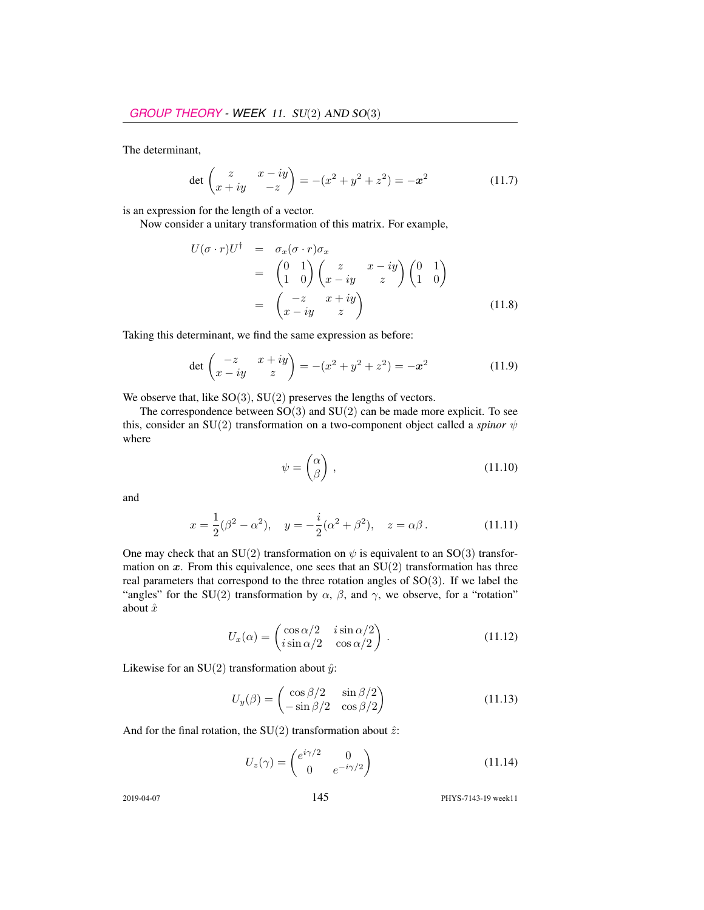The determinant,

$$
\det \begin{pmatrix} z & x - iy \\ x + iy & -z \end{pmatrix} = -(x^2 + y^2 + z^2) = -x^2 \tag{11.7}
$$

is an expression for the length of a vector.

Now consider a unitary transformation of this matrix. For example,

$$
U(\sigma \cdot r)U^{\dagger} = \sigma_x(\sigma \cdot r)\sigma_x
$$
  
=  $\begin{pmatrix} 0 & 1 \\ 1 & 0 \end{pmatrix} \begin{pmatrix} z & x - iy \\ x - iy & z \end{pmatrix} \begin{pmatrix} 0 & 1 \\ 1 & 0 \end{pmatrix}$   
=  $\begin{pmatrix} -z & x + iy \\ x - iy & z \end{pmatrix}$  (11.8)

Taking this determinant, we find the same expression as before:

$$
\det \begin{pmatrix} -z & x+iy \\ x-iy & z \end{pmatrix} = -(x^2 + y^2 + z^2) = -x^2 \tag{11.9}
$$

We observe that, like  $SO(3)$ ,  $SU(2)$  preserves the lengths of vectors.

The correspondence between  $SO(3)$  and  $SU(2)$  can be made more explicit. To see this, consider an SU(2) transformation on a two-component object called a *spinor* ψ where

$$
\psi = \begin{pmatrix} \alpha \\ \beta \end{pmatrix}, \tag{11.10}
$$

and

$$
x = \frac{1}{2}(\beta^2 - \alpha^2), \quad y = -\frac{i}{2}(\alpha^2 + \beta^2), \quad z = \alpha\beta.
$$
 (11.11)

One may check that an SU(2) transformation on  $\psi$  is equivalent to an SO(3) transformation on  $x$ . From this equivalence, one sees that an  $SU(2)$  transformation has three real parameters that correspond to the three rotation angles of SO(3). If we label the "angles" for the SU(2) transformation by  $\alpha$ ,  $\beta$ , and  $\gamma$ , we observe, for a "rotation" about  $\hat{x}$ 

$$
U_x(\alpha) = \begin{pmatrix} \cos \alpha/2 & i \sin \alpha/2 \\ i \sin \alpha/2 & \cos \alpha/2 \end{pmatrix} .
$$
 (11.12)

Likewise for an SU(2) transformation about  $\hat{y}$ :

$$
U_y(\beta) = \begin{pmatrix} \cos \beta/2 & \sin \beta/2\\ -\sin \beta/2 & \cos \beta/2 \end{pmatrix}
$$
 (11.13)

And for the final rotation, the SU(2) transformation about  $\hat{z}$ :

$$
U_z(\gamma) = \begin{pmatrix} e^{i\gamma/2} & 0\\ 0 & e^{-i\gamma/2} \end{pmatrix}
$$
 (11.14)

2019-04-07 145 PHYS-7143-19 week11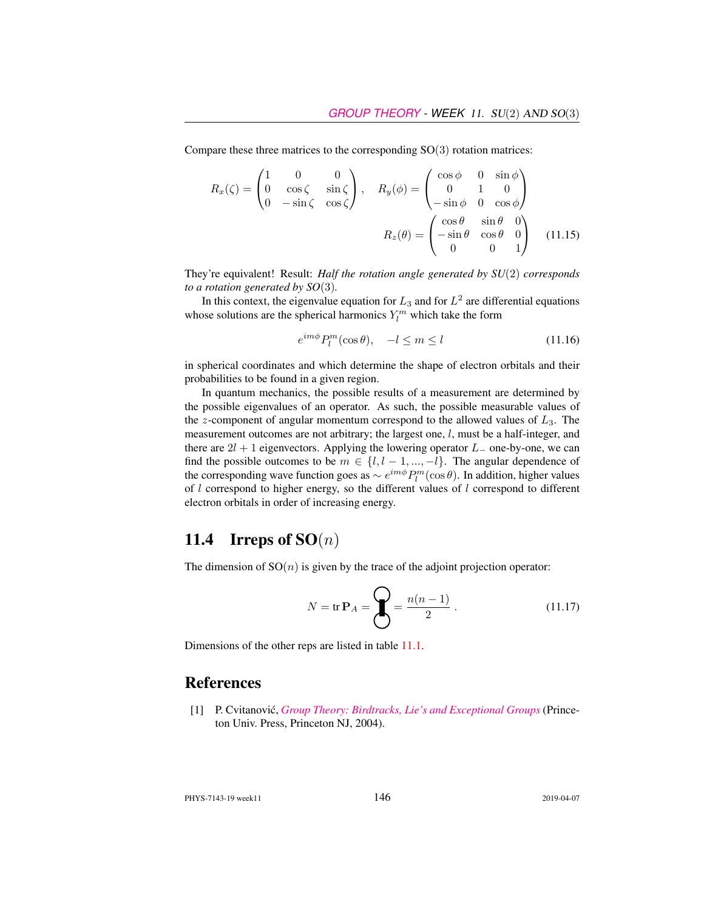Compare these three matrices to the corresponding  $SO(3)$  rotation matrices:

$$
R_x(\zeta) = \begin{pmatrix} 1 & 0 & 0 \\ 0 & \cos \zeta & \sin \zeta \\ 0 & -\sin \zeta & \cos \zeta \end{pmatrix}, \quad R_y(\phi) = \begin{pmatrix} \cos \phi & 0 & \sin \phi \\ 0 & 1 & 0 \\ -\sin \phi & 0 & \cos \phi \end{pmatrix}
$$

$$
R_z(\theta) = \begin{pmatrix} \cos \theta & \sin \theta & 0 \\ -\sin \theta & \cos \theta & 0 \\ 0 & 0 & 1 \end{pmatrix} \quad (11.15)
$$

They're equivalent! Result: *Half the rotation angle generated by SU*(2) *corresponds to a rotation generated by SO*(3)*.*

In this context, the eigenvalue equation for  $L_3$  and for  $L^2$  are differential equations whose solutions are the spherical harmonics  $Y_l^m$  which take the form

$$
e^{im\phi}P_l^m(\cos\theta), \quad -l \le m \le l \tag{11.16}
$$

in spherical coordinates and which determine the shape of electron orbitals and their probabilities to be found in a given region.

In quantum mechanics, the possible results of a measurement are determined by the possible eigenvalues of an operator. As such, the possible measurable values of the z-component of angular momentum correspond to the allowed values of  $L_3$ . The measurement outcomes are not arbitrary; the largest one, l, must be a half-integer, and there are  $2l + 1$  eigenvectors. Applying the lowering operator  $L_-\,$  one-by-one, we can find the possible outcomes to be  $m \in \{l, l-1, ..., -l\}$ . The angular dependence of the corresponding wave function goes as  $\sim e^{im\phi}P_l^m(\cos\theta)$ . In addition, higher values of l correspond to higher energy, so the different values of l correspond to different electron orbitals in order of increasing energy.

#### 11.4 Irreps of  $SO(n)$

The dimension of  $SO(n)$  is given by the trace of the adjoint projection operator:

$$
N = \text{tr } \mathbf{P}_A = \mathbf{Q} = \frac{n(n-1)}{2} \,. \tag{11.17}
$$

Dimensions of the other reps are listed in table 11.1.

#### **References**

[1] P. Cvitanovic,´ *[Group Theory: Birdtracks, Lie's and Exceptional Groups](https://press.princeton.edu/titles/8839.html)* (Princeton Univ. Press, Princeton NJ, 2004).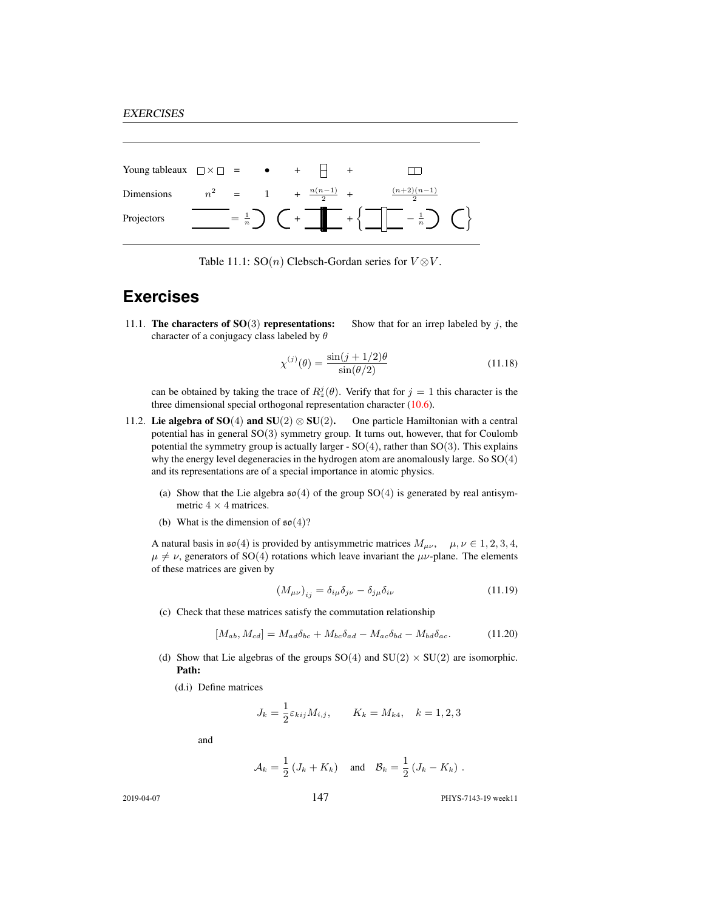| Young tableaux $\Box \times \Box$ = $\bullet$ + $\Box$ + |  |                                |                                                                                                                                                                                     |  |
|----------------------------------------------------------|--|--------------------------------|-------------------------------------------------------------------------------------------------------------------------------------------------------------------------------------|--|
| Dimensions                                               |  | $n^2 = 1 + \frac{n(n-1)}{2} +$ | $\frac{(n+2)(n-1)}{n}$                                                                                                                                                              |  |
| Projectors                                               |  |                                | $\begin{bmatrix} - & \frac{1}{n} \\ - & \frac{1}{n} \end{bmatrix}$ $\begin{bmatrix} 0 \\ 0 \\ 0 \end{bmatrix}$ + $\begin{bmatrix} - & \frac{1}{n} \\ - & \frac{1}{n} \end{bmatrix}$ |  |

Table 11.1: SO(*n*) Clebsch-Gordan series for  $V \otimes V$ .

#### **Exercises**

11.1. The characters of  $SO(3)$  representations: Show that for an irrep labeled by j, the character of a conjugacy class labeled by  $\theta$ 

$$
\chi^{(j)}(\theta) = \frac{\sin(j+1/2)\theta}{\sin(\theta/2)}
$$
\n(11.18)

can be obtained by taking the trace of  $R_z^j(\theta)$ . Verify that for  $j = 1$  this character is the three dimensional special orthogonal representation character (10.6).

- 11.2. Lie algebra of SO(4) and SU(2)  $\otimes$  SU(2). One particle Hamiltonian with a central potential has in general SO(3) symmetry group. It turns out, however, that for Coulomb potential the symmetry group is actually larger -  $SO(4)$ , rather than  $SO(3)$ . This explains why the energy level degeneracies in the hydrogen atom are anomalously large. So SO(4) and its representations are of a special importance in atomic physics.
	- (a) Show that the Lie algebra  $\mathfrak{so}(4)$  of the group SO(4) is generated by real antisymmetric  $4 \times 4$  matrices.
	- (b) What is the dimension of  $\mathfrak{so}(4)$ ?

A natural basis in  $\mathfrak{so}(4)$  is provided by antisymmetric matrices  $M_{\mu\nu}$ ,  $\mu, \nu \in 1, 2, 3, 4$ ,  $\mu \neq \nu$ , generators of SO(4) rotations which leave invariant the  $\mu\nu$ -plane. The elements of these matrices are given by

$$
\left(M_{\mu\nu}\right)_{ij} = \delta_{i\mu}\delta_{j\nu} - \delta_{j\mu}\delta_{i\nu} \tag{11.19}
$$

(c) Check that these matrices satisfy the commutation relationship

$$
[M_{ab}, M_{cd}] = M_{ad}\delta_{bc} + M_{bc}\delta_{ad} - M_{ac}\delta_{bd} - M_{bd}\delta_{ac}.
$$
 (11.20)

- (d) Show that Lie algebras of the groups  $SO(4)$  and  $SU(2) \times SU(2)$  are isomorphic. Path:
	- (d.i) Define matrices

$$
J_k = \frac{1}{2} \varepsilon_{kij} M_{i,j}, \qquad K_k = M_{k4}, \quad k = 1, 2, 3
$$

and

$$
\mathcal{A}_k = \frac{1}{2} \left( J_k + K_k \right) \quad \text{and} \quad \mathcal{B}_k = \frac{1}{2} \left( J_k - K_k \right) \, .
$$

2019-04-07 147 PHYS-7143-19 week11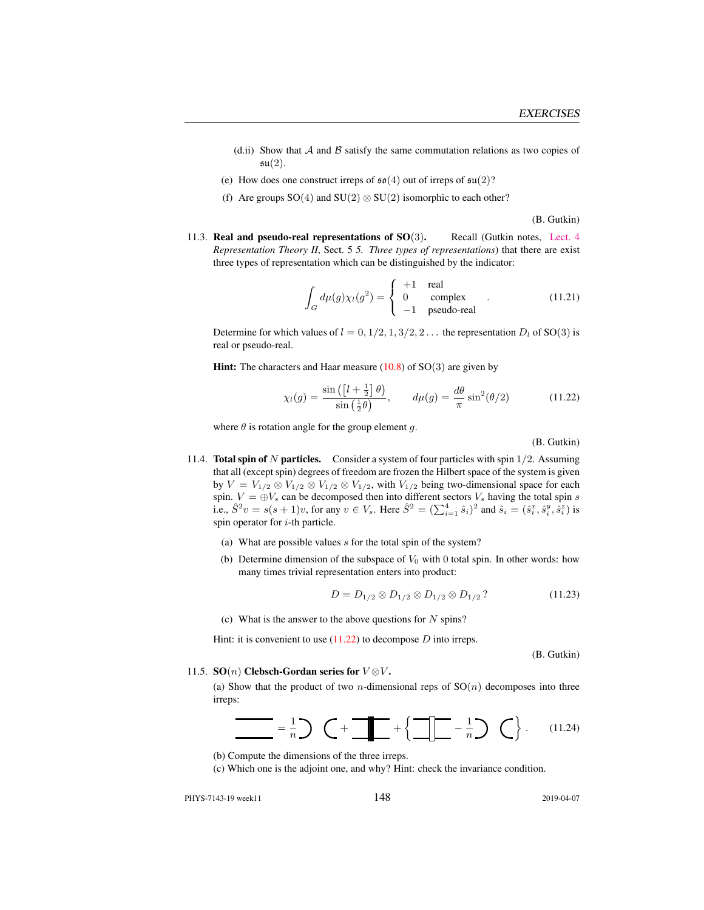- (d.ii) Show that  $A$  and  $B$  satisfy the same commutation relations as two copies of  $\mathfrak{su}(2)$ .
- (e) How does one construct irreps of  $\mathfrak{so}(4)$  out of irreps of  $\mathfrak{su}(2)$ ?
- (f) Are groups  $SO(4)$  and  $SU(2) \otimes SU(2)$  isomorphic to each other?

(B. Gutkin)

11.3. **Real and pseudo-real representations of SO(3).** Recall (Gutkin notes, [Lect. 4](http://birdtracks.eu/courses/PHYS-7143-19/groups.pdf) *Representation Theory II*, Sect. 5 *5. Three types of representations*) that there are exist three types of representation which can be distinguished by the indicator:

$$
\int_{G} d\mu(g)\chi_{l}(g^{2}) = \begin{cases}\n+1 & \text{real} \\
0 & \text{complex} \\
-1 & \text{pseudo-real}\n\end{cases}.
$$
\n(11.21)

Determine for which values of  $l = 0, 1/2, 1, 3/2, 2...$  the representation  $D_l$  of SO(3) is real or pseudo-real.

**Hint:** The characters and Haar measure  $(10.8)$  of SO $(3)$  are given by

$$
\chi_l(g) = \frac{\sin\left(\left[l + \frac{1}{2}\right]\theta\right)}{\sin\left(\frac{1}{2}\theta\right)}, \qquad d\mu(g) = \frac{d\theta}{\pi}\sin^2(\theta/2) \tag{11.22}
$$

where  $\theta$  is rotation angle for the group element g.

(B. Gutkin)

- 11.4. **Total spin of N particles.** Consider a system of four particles with spin  $1/2$ . Assuming that all (except spin) degrees of freedom are frozen the Hilbert space of the system is given by  $V = V_{1/2} \otimes V_{1/2} \otimes V_{1/2} \otimes V_{1/2}$ , with  $V_{1/2}$  being two-dimensional space for each spin.  $V = \bigoplus V_s$  can be decomposed then into different sectors  $V_s$  having the total spin s i.e.,  $\hat{S}^2 v = s(s+1)v$ , for any  $v \in V_s$ . Here  $\hat{S}^2 = (\sum_{i=1}^4 \hat{s}_i)^2$  and  $\hat{s}_i = (\hat{s}_i^x, \hat{s}_i^y, \hat{s}_i^z)$  is spin operator for  $i$ -th particle.
	- (a) What are possible values s for the total spin of the system?
	- (b) Determine dimension of the subspace of  $V_0$  with 0 total spin. In other words: how many times trivial representation enters into product:

$$
D = D_{1/2} \otimes D_{1/2} \otimes D_{1/2} \otimes D_{1/2} ? \tag{11.23}
$$

(c) What is the answer to the above questions for  $N$  spins?

Hint: it is convenient to use  $(11.22)$  to decompose D into irreps.

(B. Gutkin)

#### 11.5. SO(*n*) Clebsch-Gordan series for  $V \otimes V$ .

(a) Show that the product of two *n*-dimensional reps of  $SO(n)$  decomposes into three irreps:

$$
\frac{1}{\sqrt{1-\frac{1}{n}}}\sum_{n=1}^{\infty}(-1)^n\left(\frac{1}{\sqrt{1-\frac{1}{n}}}\sum_{n=1}^{\infty}\frac{1}{n}\sum_{n=1}^{\infty}\frac{1}{n}\sum_{n=1}^{\infty}\frac{1}{n}\sum_{n=1}^{\infty}\frac{1}{n}\sum_{n=1}^{\infty}\frac{1}{n}\sum_{n=1}^{\infty}\frac{1}{n}\sum_{n=1}^{\infty}\frac{1}{n}\sum_{n=1}^{\infty}\frac{1}{n}\sum_{n=1}^{\infty}\frac{1}{n}\sum_{n=1}^{\infty}\frac{1}{n}\sum_{n=1}^{\infty}\frac{1}{n}\sum_{n=1}^{\infty}\frac{1}{n}\sum_{n=1}^{\infty}\frac{1}{n}\sum_{n=1}^{\infty}\frac{1}{n}\sum_{n=1}^{\infty}\frac{1}{n}\sum_{n=1}^{\infty}\frac{1}{n}\sum_{n=1}^{\infty}\frac{1}{n}\sum_{n=1}^{\infty}\frac{1}{n}\sum_{n=1}^{\infty}\frac{1}{n}\sum_{n=1}^{\infty}\frac{1}{n}\sum_{n=1}^{\infty}\frac{1}{n}\sum_{n=1}^{\infty}\frac{1}{n}\sum_{n=1}^{\infty}\frac{1}{n}\sum_{n=1}^{\infty}\frac{1}{n}\sum_{n=1}^{\infty}\frac{1}{n}\sum_{n=1}^{\infty}\frac{1}{n}\sum_{n=1}^{\infty}\frac{1}{n}\sum_{n=1}^{\infty}\frac{1}{n}\sum_{n=1}^{\infty}\frac{1}{n}\sum_{n=1}^{\infty}\frac{1}{n}\sum_{n=1}^{\infty}\frac{1}{n}\sum_{n=1}^{\infty}\frac{1}{n}\sum_{n=1}^{\infty}\frac{1}{n}\sum_{n=1}^{\infty}\frac{1}{n}\sum_{n=1}^{\infty}\frac{1}{n}\sum_{n=1}^{\infty}\frac{1}{n}\sum_{n=1}^{\infty}\frac{1}{n}\sum_{n=1}^{\infty}\frac{1}{n}\sum_{n=1}^{\infty}\frac{1}{n}\sum_{n=1}^{\infty}\frac{1}{n}\sum_{n=1}^{\infty}\frac{1}{n}\sum_{n=1}^{\infty}\frac
$$

(b) Compute the dimensions of the three irreps.

(c) Which one is the adjoint one, and why? Hint: check the invariance condition.

PHYS-7143-19 week11 2019-04-07